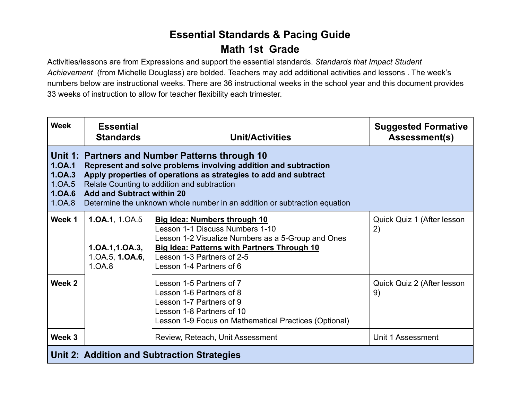## **Essential Standards & Pacing Guide Math 1st Grade**

Activities/lessons are from Expressions and support the essential standards. *Standards that Impact Student Achievement* (from Michelle Douglass) are bolded. Teachers may add additional activities and lessons . The week's numbers below are instructional weeks. There are 36 instructional weeks in the school year and this document provides 33 weeks of instruction to allow for teacher flexibility each trimester.

| <b>Week</b>                                    | <b>Essential</b><br><b>Standards</b>                                                                                                                                                                                                                                                                                                                    | <b>Unit/Activities</b>                                                                                                                                                                                                                       | <b>Suggested Formative</b><br>Assessment(s) |  |
|------------------------------------------------|---------------------------------------------------------------------------------------------------------------------------------------------------------------------------------------------------------------------------------------------------------------------------------------------------------------------------------------------------------|----------------------------------------------------------------------------------------------------------------------------------------------------------------------------------------------------------------------------------------------|---------------------------------------------|--|
| 1.0A.1<br>1.0A.3<br>1.0A.5<br>1.0A.6<br>1.OA.8 | Unit 1: Partners and Number Patterns through 10<br>Represent and solve problems involving addition and subtraction<br>Apply properties of operations as strategies to add and subtract<br>Relate Counting to addition and subtraction<br><b>Add and Subtract within 20</b><br>Determine the unknown whole number in an addition or subtraction equation |                                                                                                                                                                                                                                              |                                             |  |
| Week 1                                         | 1.0A.1, 1.0A.5<br>1.0A.1, 1.0A.3,<br>1.0A.5, <b>1.0A.6</b> ,<br>1.0A.8                                                                                                                                                                                                                                                                                  | <b>Big Idea: Numbers through 10</b><br>Lesson 1-1 Discuss Numbers 1-10<br>Lesson 1-2 Visualize Numbers as a 5-Group and Ones<br><b>Big Idea: Patterns with Partners Through 10</b><br>Lesson 1-3 Partners of 2-5<br>Lesson 1-4 Partners of 6 | Quick Quiz 1 (After lesson<br>2)            |  |
| Week 2                                         |                                                                                                                                                                                                                                                                                                                                                         | Lesson 1-5 Partners of 7<br>Lesson 1-6 Partners of 8<br>Lesson 1-7 Partners of 9<br>Lesson 1-8 Partners of 10<br>Lesson 1-9 Focus on Mathematical Practices (Optional)                                                                       | Quick Quiz 2 (After lesson<br>9)            |  |
| Week 3                                         |                                                                                                                                                                                                                                                                                                                                                         | Review, Reteach, Unit Assessment                                                                                                                                                                                                             | Unit 1 Assessment                           |  |
| Unit 2: Addition and Subtraction Strategies    |                                                                                                                                                                                                                                                                                                                                                         |                                                                                                                                                                                                                                              |                                             |  |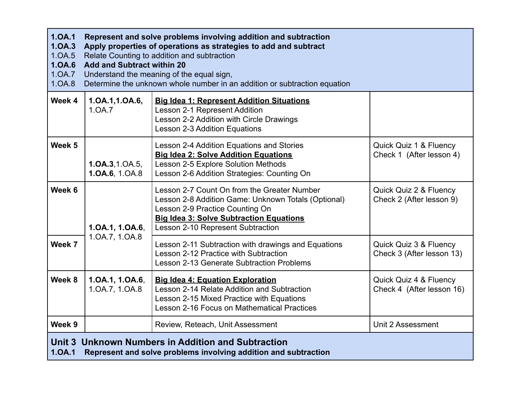| 1.0A.1<br>1.0A.3<br>1.0A.5<br>1.0A.6<br>1.0A.7<br>1.0A.8                                                                        | Represent and solve problems involving addition and subtraction<br>Apply properties of operations as strategies to add and subtract<br>Relate Counting to addition and subtraction<br><b>Add and Subtract within 20</b><br>Understand the meaning of the equal sign,<br>Determine the unknown whole number in an addition or subtraction equation |                                                                                                                                                                                                                              |                                                     |  |
|---------------------------------------------------------------------------------------------------------------------------------|---------------------------------------------------------------------------------------------------------------------------------------------------------------------------------------------------------------------------------------------------------------------------------------------------------------------------------------------------|------------------------------------------------------------------------------------------------------------------------------------------------------------------------------------------------------------------------------|-----------------------------------------------------|--|
| Week 4                                                                                                                          | 1.0A.1,1.0A.6,<br>1.0A.7                                                                                                                                                                                                                                                                                                                          | <b>Big Idea 1: Represent Addition Situations</b><br>Lesson 2-1 Represent Addition<br>Lesson 2-2 Addition with Circle Drawings<br>Lesson 2-3 Addition Equations                                                               |                                                     |  |
| Week 5                                                                                                                          | 1.0A.3, 1.0A.5,<br>1.0A.6, 1.0A.8                                                                                                                                                                                                                                                                                                                 | Lesson 2-4 Addition Equations and Stories<br><b>Big Idea 2: Solve Addition Equations</b><br>Lesson 2-5 Explore Solution Methods<br>Lesson 2-6 Addition Strategies: Counting On                                               | Quick Quiz 1 & Fluency<br>Check 1 (After lesson 4)  |  |
| Week 6                                                                                                                          | 1.0A.1, 1.0A.6,<br>1.0A.7, 1.0A.8                                                                                                                                                                                                                                                                                                                 | Lesson 2-7 Count On from the Greater Number<br>Lesson 2-8 Addition Game: Unknown Totals (Optional)<br>Lesson 2-9 Practice Counting On<br><b>Big Idea 3: Solve Subtraction Equations</b><br>Lesson 2-10 Represent Subtraction | Quick Quiz 2 & Fluency<br>Check 2 (After lesson 9)  |  |
| Week 7                                                                                                                          |                                                                                                                                                                                                                                                                                                                                                   | Lesson 2-11 Subtraction with drawings and Equations<br>Lesson 2-12 Practice with Subtraction<br>Lesson 2-13 Generate Subtraction Problems                                                                                    | Quick Quiz 3 & Fluency<br>Check 3 (After lesson 13) |  |
| Week 8                                                                                                                          | 1.0A.1, 1.0A.6,<br>1.0A.7, 1.0A.8                                                                                                                                                                                                                                                                                                                 | <b>Big Idea 4: Equation Exploration</b><br>Lesson 2-14 Relate Addition and Subtraction<br>Lesson 2-15 Mixed Practice with Equations<br>Lesson 2-16 Focus on Mathematical Practices                                           | Quick Quiz 4 & Fluency<br>Check 4 (After lesson 16) |  |
| Week 9                                                                                                                          |                                                                                                                                                                                                                                                                                                                                                   | Review, Reteach, Unit Assessment                                                                                                                                                                                             | Unit 2 Assessment                                   |  |
| Unit 3 Unknown Numbers in Addition and Subtraction<br>1.0A.1<br>Represent and solve problems involving addition and subtraction |                                                                                                                                                                                                                                                                                                                                                   |                                                                                                                                                                                                                              |                                                     |  |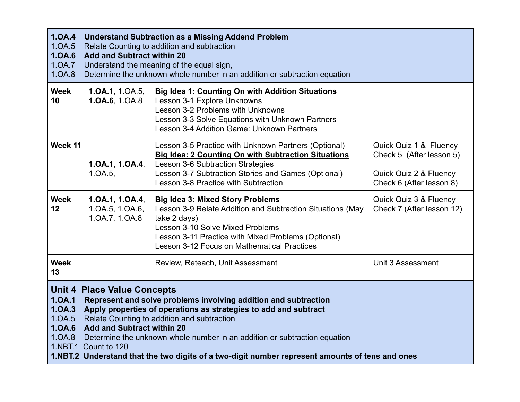| 1.0A.4<br><b>Understand Subtraction as a Missing Addend Problem</b><br>1.0A.5<br>Relate Counting to addition and subtraction<br>1.0A.6<br><b>Add and Subtract within 20</b><br>1.0A.7<br>Understand the meaning of the equal sign,<br>1.0A.8<br>Determine the unknown whole number in an addition or subtraction equation                                                                                                                                                                                               |                                                      |                                                                                                                                                                                                                                                                        |                                                                                                          |
|-------------------------------------------------------------------------------------------------------------------------------------------------------------------------------------------------------------------------------------------------------------------------------------------------------------------------------------------------------------------------------------------------------------------------------------------------------------------------------------------------------------------------|------------------------------------------------------|------------------------------------------------------------------------------------------------------------------------------------------------------------------------------------------------------------------------------------------------------------------------|----------------------------------------------------------------------------------------------------------|
| <b>Week</b><br>10                                                                                                                                                                                                                                                                                                                                                                                                                                                                                                       | 1.0A.1, 1.0A.5,<br>1.0A.6, 1.0A.8                    | <b>Big Idea 1: Counting On with Addition Situations</b><br>Lesson 3-1 Explore Unknowns<br>Lesson 3-2 Problems with Unknowns<br>Lesson 3-3 Solve Equations with Unknown Partners<br>Lesson 3-4 Addition Game: Unknown Partners                                          |                                                                                                          |
| Week 11                                                                                                                                                                                                                                                                                                                                                                                                                                                                                                                 | 1.0A.1, 1.0A.4,<br>$1.0A.5$ ,                        | Lesson 3-5 Practice with Unknown Partners (Optional)<br><b>Big Idea: 2 Counting On with Subtraction Situations</b><br>Lesson 3-6 Subtraction Strategies<br>Lesson 3-7 Subtraction Stories and Games (Optional)<br>Lesson 3-8 Practice with Subtraction                 | Quick Quiz 1 & Fluency<br>Check 5 (After lesson 5)<br>Quick Quiz 2 & Fluency<br>Check 6 (After lesson 8) |
| <b>Week</b><br>12                                                                                                                                                                                                                                                                                                                                                                                                                                                                                                       | 1.0A.1, 1.0A.4,<br>1.0A.5, 1.0A.6,<br>1.0A.7, 1.0A.8 | <b>Big Idea 3: Mixed Story Problems</b><br>Lesson 3-9 Relate Addition and Subtraction Situations (May<br>take 2 days)<br><b>Lesson 3-10 Solve Mixed Problems</b><br>Lesson 3-11 Practice with Mixed Problems (Optional)<br>Lesson 3-12 Focus on Mathematical Practices | Quick Quiz 3 & Fluency<br>Check 7 (After lesson 12)                                                      |
| <b>Week</b><br>13                                                                                                                                                                                                                                                                                                                                                                                                                                                                                                       |                                                      | Review, Reteach, Unit Assessment                                                                                                                                                                                                                                       | Unit 3 Assessment                                                                                        |
| <b>Unit 4 Place Value Concepts</b><br>1.0A.1<br>Represent and solve problems involving addition and subtraction<br>1.0A.3<br>Apply properties of operations as strategies to add and subtract<br>1.0A.5<br>Relate Counting to addition and subtraction<br><b>Add and Subtract within 20</b><br>1.0A.6<br>1.0A.8<br>Determine the unknown whole number in an addition or subtraction equation<br>1.NBT.1 Count to 120<br>1.NBT.2 Understand that the two digits of a two-digit number represent amounts of tens and ones |                                                      |                                                                                                                                                                                                                                                                        |                                                                                                          |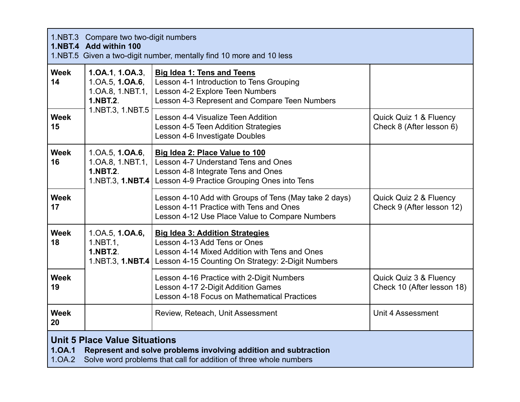| 1.NBT.3 Compare two two-digit numbers<br>1.NBT.4 Add within 100<br>1.NBT.5 Given a two-digit number, mentally find 10 more and 10 less                                                           |                                                                                   |                                                                                                                                                                                                 |                                                      |
|--------------------------------------------------------------------------------------------------------------------------------------------------------------------------------------------------|-----------------------------------------------------------------------------------|-------------------------------------------------------------------------------------------------------------------------------------------------------------------------------------------------|------------------------------------------------------|
| <b>Week</b><br>14                                                                                                                                                                                | 1.0A.1, 1.0A.3,<br>1.0A.5, <b>1.0A.6</b> ,<br>1.0A.8, 1.NBT.1,<br><b>1.NBT.2.</b> | <b>Big Idea 1: Tens and Teens</b><br>Lesson 4-1 Introduction to Tens Grouping<br>Lesson 4-2 Explore Teen Numbers<br>Lesson 4-3 Represent and Compare Teen Numbers                               |                                                      |
| <b>Week</b><br>15                                                                                                                                                                                | 1.NBT.3, 1.NBT.5                                                                  | Lesson 4-4 Visualize Teen Addition<br>Lesson 4-5 Teen Addition Strategies<br>Lesson 4-6 Investigate Doubles                                                                                     | Quick Quiz 1 & Fluency<br>Check 8 (After lesson 6)   |
| <b>Week</b><br>16                                                                                                                                                                                | 1.0A.5, 1.0A.6,<br>1.0A.8, 1.NBT.1,<br><b>1.NBT.2.</b>                            | Big Idea 2: Place Value to 100<br>Lesson 4-7 Understand Tens and Ones<br>Lesson 4-8 Integrate Tens and Ones<br>1.NBT.3, 1.NBT.4   Lesson 4-9 Practice Grouping Ones into Tens                   |                                                      |
| <b>Week</b><br>17                                                                                                                                                                                |                                                                                   | Lesson 4-10 Add with Groups of Tens (May take 2 days)<br>Lesson 4-11 Practice with Tens and Ones<br>Lesson 4-12 Use Place Value to Compare Numbers                                              | Quick Quiz 2 & Fluency<br>Check 9 (After lesson 12)  |
| <b>Week</b><br>18                                                                                                                                                                                | 1.0A.5, 1.0A.6,<br>$1.$ NBT $.1,$<br><b>1.NBT.2.</b>                              | <b>Big Idea 3: Addition Strategies</b><br>Lesson 4-13 Add Tens or Ones<br>Lesson 4-14 Mixed Addition with Tens and Ones<br>1.NBT.3, 1.NBT.4   Lesson 4-15 Counting On Strategy: 2-Digit Numbers |                                                      |
| <b>Week</b><br>19                                                                                                                                                                                |                                                                                   | Lesson 4-16 Practice with 2-Digit Numbers<br>Lesson 4-17 2-Digit Addition Games<br>Lesson 4-18 Focus on Mathematical Practices                                                                  | Quick Quiz 3 & Fluency<br>Check 10 (After lesson 18) |
| <b>Week</b><br>20                                                                                                                                                                                |                                                                                   | Review, Reteach, Unit Assessment                                                                                                                                                                | Unit 4 Assessment                                    |
| <b>Unit 5 Place Value Situations</b><br>1.0A.1<br>Represent and solve problems involving addition and subtraction<br>Solve word problems that call for addition of three whole numbers<br>1.0A.2 |                                                                                   |                                                                                                                                                                                                 |                                                      |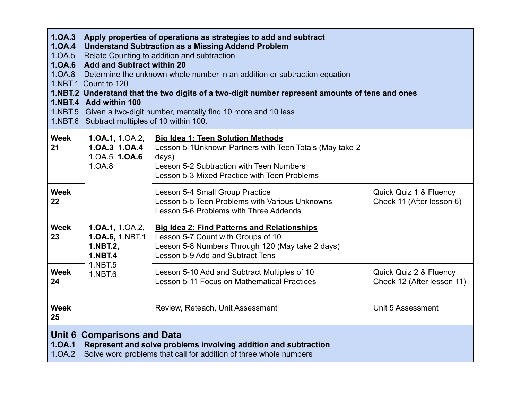| 1.0A.3<br>Apply properties of operations as strategies to add and subtract<br>1.0A.4<br><b>Understand Subtraction as a Missing Addend Problem</b><br>Relate Counting to addition and subtraction<br>1.0A.5<br>1.0A.6 Add and Subtract within 20<br>1.0A.8 Determine the unknown whole number in an addition or subtraction equation<br>1.NBT.1 Count to 120<br>1.NBT.2 Understand that the two digits of a two-digit number represent amounts of tens and ones<br>1.NBT.4 Add within 100<br>1.NBT.5 Given a two-digit number, mentally find 10 more and 10 less<br>1.NBT.6 Subtract multiples of 10 within 100. |                                                                  |                                                                                                                                                                                                           |                                                      |
|-----------------------------------------------------------------------------------------------------------------------------------------------------------------------------------------------------------------------------------------------------------------------------------------------------------------------------------------------------------------------------------------------------------------------------------------------------------------------------------------------------------------------------------------------------------------------------------------------------------------|------------------------------------------------------------------|-----------------------------------------------------------------------------------------------------------------------------------------------------------------------------------------------------------|------------------------------------------------------|
| <b>Week</b><br>21                                                                                                                                                                                                                                                                                                                                                                                                                                                                                                                                                                                               | 1.0A.1, 1.0A.2,<br>1.0A.3 1.0A.4<br>1.0A.5 1.0A.6<br>1.0A.8      | <b>Big Idea 1: Teen Solution Methods</b><br>Lesson 5-1 Unknown Partners with Teen Totals (May take 2<br>days)<br>Lesson 5-2 Subtraction with Teen Numbers<br>Lesson 5-3 Mixed Practice with Teen Problems |                                                      |
| <b>Week</b><br>22                                                                                                                                                                                                                                                                                                                                                                                                                                                                                                                                                                                               |                                                                  | Lesson 5-4 Small Group Practice<br>Lesson 5-5 Teen Problems with Various Unknowns<br>Lesson 5-6 Problems with Three Addends                                                                               | Quick Quiz 1 & Fluency<br>Check 11 (After lesson 6)  |
| <b>Week</b><br>23                                                                                                                                                                                                                                                                                                                                                                                                                                                                                                                                                                                               | 1.0A.1, 1.0A.2,<br>1.0A.6, 1.NBT.1<br>1.NBT.2,<br><b>1.NBT.4</b> | <b>Big Idea 2: Find Patterns and Relationships</b><br>Lesson 5-7 Count with Groups of 10<br>Lesson 5-8 Numbers Through 120 (May take 2 days)<br>Lesson 5-9 Add and Subtract Tens                          |                                                      |
| <b>Week</b><br>24                                                                                                                                                                                                                                                                                                                                                                                                                                                                                                                                                                                               | 1.NBT.5<br>1.NBT.6                                               | Lesson 5-10 Add and Subtract Multiples of 10<br>Lesson 5-11 Focus on Mathematical Practices                                                                                                               | Quick Quiz 2 & Fluency<br>Check 12 (After lesson 11) |
| <b>Week</b><br>25                                                                                                                                                                                                                                                                                                                                                                                                                                                                                                                                                                                               |                                                                  | Review, Reteach, Unit Assessment                                                                                                                                                                          | Unit 5 Assessment                                    |
| <b>Unit 6 Comparisons and Data</b><br>Represent and solve problems involving addition and subtraction<br>1.0A.1<br>1.0A.2<br>Solve word problems that call for addition of three whole numbers                                                                                                                                                                                                                                                                                                                                                                                                                  |                                                                  |                                                                                                                                                                                                           |                                                      |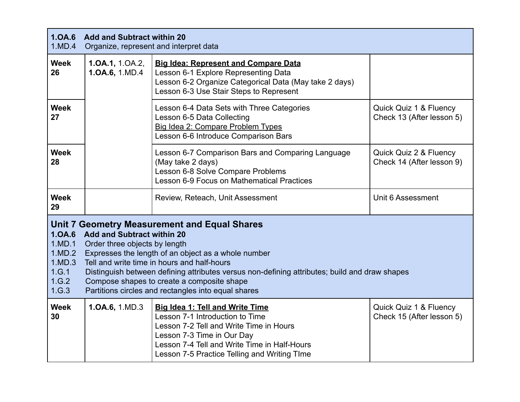| 1.0A.6<br><b>Add and Subtract within 20</b><br>1.MD.4<br>Organize, represent and interpret data                                                                                                                                                                                                                                                                                                                                                                                                          |                                      |                                                                                                                                                                                                                                                    |                                                     |
|----------------------------------------------------------------------------------------------------------------------------------------------------------------------------------------------------------------------------------------------------------------------------------------------------------------------------------------------------------------------------------------------------------------------------------------------------------------------------------------------------------|--------------------------------------|----------------------------------------------------------------------------------------------------------------------------------------------------------------------------------------------------------------------------------------------------|-----------------------------------------------------|
| <b>Week</b><br>26                                                                                                                                                                                                                                                                                                                                                                                                                                                                                        | 1.0A.1, $1.0A.2$ ,<br>1.0A.6, 1.MD.4 | <b>Big Idea: Represent and Compare Data</b><br>Lesson 6-1 Explore Representing Data<br>Lesson 6-2 Organize Categorical Data (May take 2 days)<br>Lesson 6-3 Use Stair Steps to Represent                                                           |                                                     |
| <b>Week</b><br>27                                                                                                                                                                                                                                                                                                                                                                                                                                                                                        |                                      | Lesson 6-4 Data Sets with Three Categories<br>Lesson 6-5 Data Collecting<br>Big Idea 2: Compare Problem Types<br>Lesson 6-6 Introduce Comparison Bars                                                                                              | Quick Quiz 1 & Fluency<br>Check 13 (After lesson 5) |
| <b>Week</b><br>28                                                                                                                                                                                                                                                                                                                                                                                                                                                                                        |                                      | Lesson 6-7 Comparison Bars and Comparing Language<br>(May take 2 days)<br>Lesson 6-8 Solve Compare Problems<br>Lesson 6-9 Focus on Mathematical Practices                                                                                          | Quick Quiz 2 & Fluency<br>Check 14 (After lesson 9) |
| <b>Week</b><br>29                                                                                                                                                                                                                                                                                                                                                                                                                                                                                        |                                      | Review, Reteach, Unit Assessment                                                                                                                                                                                                                   | Unit 6 Assessment                                   |
| <b>Unit 7 Geometry Measurement and Equal Shares</b><br>1.0A.6<br><b>Add and Subtract within 20</b><br>1.MD.1<br>Order three objects by length<br>1.MD.2<br>Expresses the length of an object as a whole number<br>Tell and write time in hours and half-hours<br>1.MD.3<br>1.G.1<br>Distinguish between defining attributes versus non-defining attributes; build and draw shapes<br>1.G.2<br>Compose shapes to create a composite shape<br>1.G.3<br>Partitions circles and rectangles into equal shares |                                      |                                                                                                                                                                                                                                                    |                                                     |
| <b>Week</b><br>30                                                                                                                                                                                                                                                                                                                                                                                                                                                                                        | 1.0A.6, 1.MD.3                       | <b>Big Idea 1: Tell and Write Time</b><br>Lesson 7-1 Introduction to Time<br>Lesson 7-2 Tell and Write Time in Hours<br>Lesson 7-3 Time in Our Day<br>Lesson 7-4 Tell and Write Time in Half-Hours<br>Lesson 7-5 Practice Telling and Writing TIme | Quick Quiz 1 & Fluency<br>Check 15 (After lesson 5) |